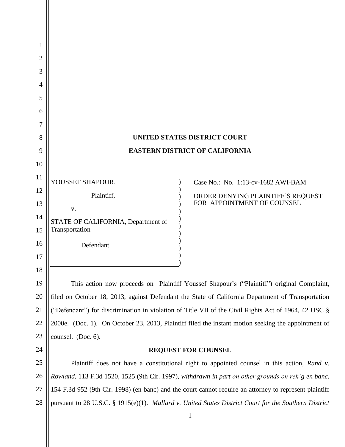| 1        |                                                                                                                           |
|----------|---------------------------------------------------------------------------------------------------------------------------|
| 2        |                                                                                                                           |
| 3        |                                                                                                                           |
| 4        |                                                                                                                           |
| 5        |                                                                                                                           |
| 6        |                                                                                                                           |
| 7        |                                                                                                                           |
| 8        | <b>UNITED STATES DISTRICT COURT</b>                                                                                       |
| 9        | <b>EASTERN DISTRICT OF CALIFORNIA</b>                                                                                     |
| 10       |                                                                                                                           |
| 11       | YOUSSEF SHAPOUR,<br>Case No.: No. 1:13-cv-1682 AWI-BAM                                                                    |
| 12       | Plaintiff,<br>ORDER DENYING PLAINTIFF'S REQUEST                                                                           |
| 13       | FOR APPOINTMENT OF COUNSEL<br>V.                                                                                          |
| 14       | STATE OF CALIFORNIA, Department of                                                                                        |
| 15       | Transportation                                                                                                            |
| 16       | Defendant.                                                                                                                |
| 17       |                                                                                                                           |
| 18       |                                                                                                                           |
| 19       | This action now proceeds on Plaintiff Youssef Shapour's ("Plaintiff") original Complaint,                                 |
| 20<br>21 | filed on October 18, 2013, against Defendant the State of California Department of Transportation                         |
| 22       | ("Defendant") for discrimination in violation of Title VII of the Civil Rights Act of 1964, 42 USC §                      |
| 23       | 2000e. (Doc. 1). On October 23, 2013, Plaintiff filed the instant motion seeking the appointment of<br>counsel. (Doc. 6). |
| 24       | <b>REQUEST FOR COUNSEL</b>                                                                                                |
| 25       | Plaintiff does not have a constitutional right to appointed counsel in this action, Rand v.                               |
| 26       | Rowland, 113 F.3d 1520, 1525 (9th Cir. 1997), withdrawn in part on other grounds on reh'g en banc,                        |
| 27       | 154 F.3d 952 (9th Cir. 1998) (en banc) and the court cannot require an attorney to represent plaintiff                    |
| 28       | pursuant to 28 U.S.C. § 1915(e)(1). Mallard v. United States District Court for the Southern District                     |
|          |                                                                                                                           |